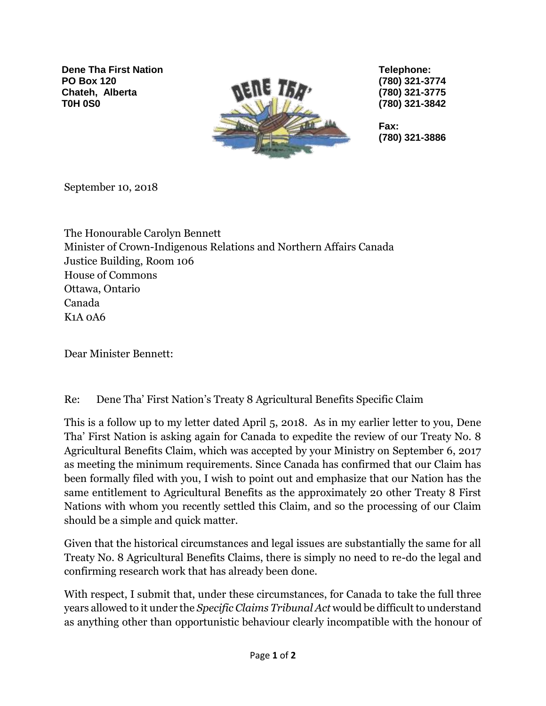**Dene Tha First Nation PO Box 120 Chateh, Alberta T0H 0S0**



**Telephone: (780) 321-3774 (780) 321-3775 (780) 321-3842**

**Fax: (780) 321-3886**

September 10, 2018

The Honourable Carolyn Bennett Minister of Crown-Indigenous Relations and Northern Affairs Canada Justice Building, Room 106 House of Commons Ottawa, Ontario Canada K1A 0A6

Dear Minister Bennett:

## Re: Dene Tha' First Nation's Treaty 8 Agricultural Benefits Specific Claim

This is a follow up to my letter dated April 5, 2018. As in my earlier letter to you, Dene Tha' First Nation is asking again for Canada to expedite the review of our Treaty No. 8 Agricultural Benefits Claim, which was accepted by your Ministry on September 6, 2017 as meeting the minimum requirements. Since Canada has confirmed that our Claim has been formally filed with you, I wish to point out and emphasize that our Nation has the same entitlement to Agricultural Benefits as the approximately 20 other Treaty 8 First Nations with whom you recently settled this Claim, and so the processing of our Claim should be a simple and quick matter.

Given that the historical circumstances and legal issues are substantially the same for all Treaty No. 8 Agricultural Benefits Claims, there is simply no need to re-do the legal and confirming research work that has already been done.

With respect, I submit that, under these circumstances, for Canada to take the full three years allowed to it under the *Specific Claims Tribunal Act* would be difficult to understand as anything other than opportunistic behaviour clearly incompatible with the honour of